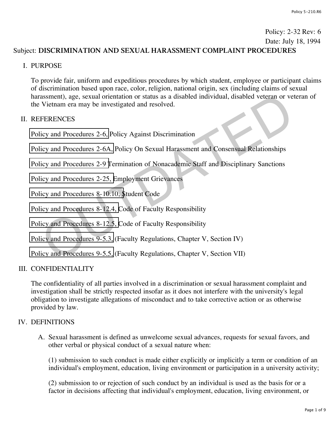# Policy: 2-32 Rev: 6 Date: July 18, 1994

# Subject: **DISCRIMINATION AND SEXUAL HARASSMENT COMPLAINT PROCEDURES**

### I. PURPOSE

To provide fair, uniform and expeditious procedures by which student, employee or participant claims of discrimination based upon race, color, religion, national origin, sex (including claims of sexual harassment), age, sexual orientation or status as a disabled individual, disabled veteran or veteran of the Vietnam era may be investigated and resolved. assment), age, sexual orientation or status as a disabled individual, disabled veteran or ve<br>Vietnam era may be investigated and resolved.<br>FERENCES<br>icy and Procedures 2-6, Policy Against Discrimination<br>icy and Procedures 2

### II. REFERENCES

Policy and Procedures 2-6, Policy Against Discrimination

Policy and Procedures 2-6A, Policy On Sexual Harassment and Consensual Relationships

Policy and Procedures 2-9 Termination of Nonacademic Staff and Disciplinary Sanctions

Policy and Procedures 2-25, Employment Grievances

Policy and Procedures 8-10.10, Student Code

Policy and Procedures 8-12.4, Code of Faculty Responsibility

Policy and Procedures 8-12.5, Code of Faculty Responsibility

Policy and Procedures 9-5.3, (Faculty Regulations, Chapter V, Section IV)

Policy and Procedures 9-5.5, (Faculty Regulations, Chapter V, Section VII)

# III. CONFIDENTIALITY

The confidentiality of all parties involved in a discrimination or sexual harassment complaint and investigation shall be strictly respected insofar as it does not interfere with the university's legal obligation to investigate allegations of misconduct and to take corrective action or as otherwise provided by law.

# IV. DEFINITIONS

A. Sexual harassment is defined as unwelcome sexual advances, requests for sexual favors, and other verbal or physical conduct of a sexual nature when:

(1) submission to such conduct is made either explicitly or implicitly a term or condition of an individual's employment, education, living environment or participation in a university activity;

(2) submission to or rejection of such conduct by an individual is used as the basis for or a factor in decisions affecting that individual's employment, education, living environment, or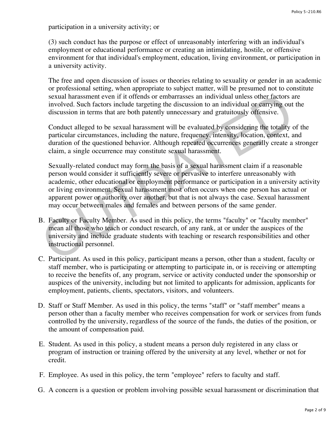participation in a university activity; or

(3) such conduct has the purpose or effect of unreasonably interfering with an individual's employment or educational performance or creating an intimidating, hostile, or offensive environment for that individual's employment, education, living environment, or participation in a university activity.

The free and open discussion of issues or theories relating to sexuality or gender in an academic or professional setting, when appropriate to subject matter, will be presumed not to constitute sexual harassment even if it offends or embarrasses an individual unless other factors are involved. Such factors include targeting the discussion to an individual or carrying out the discussion in terms that are both patently unnecessary and gratuitously offensive.

Conduct alleged to be sexual harassment will be evaluated by considering the totality of the particular circumstances, including the nature, frequency, intensity, location, context, and duration of the questioned behavior. Although repeated occurrences generally create a stronger claim, a single occurrence may constitute sexual harassment.

Sexually-related conduct may form the basis of a sexual harassment claim if a reasonable person would consider it sufficiently severe or pervasive to interfere unreasonably with academic, other educational or employment performance or participation in a university activity or living environment. Sexual harassment most often occurs when one person has actual or apparent power or authority over another, but that is not always the case. Sexual harassment may occur between males and females and between persons of the same gender. sexual harassment even if it offends or embarrasses an individual unless other factors a<br>involved. Such factors include targeting the discussion to an individual or earrying out<br>discussion in terms that are both patently u

- B. Faculty or Faculty Member. As used in this policy, the terms "faculty" or "faculty member" mean all those who teach or conduct research, of any rank, at or under the auspices of the university and include graduate students with teaching or research responsibilities and other instructional personnel.
- C. Participant. As used in this policy, participant means a person, other than a student, faculty or staff member, who is participating or attempting to participate in, or is receiving or attempting to receive the benefits of, any program, service or activity conducted under the sponsorship or auspices of the university, including but not limited to applicants for admission, applicants for employment, patients, clients, spectators, visitors, and volunteers.
- D. Staff or Staff Member. As used in this policy, the terms "staff" or "staff member" means a person other than a faculty member who receives compensation for work or services from funds controlled by the university, regardless of the source of the funds, the duties of the position, or the amount of compensation paid.
- E. Student. As used in this policy, a student means a person duly registered in any class or program of instruction or training offered by the university at any level, whether or not for credit.
- F. Employee. As used in this policy, the term "employee" refers to faculty and staff.
- G. A concern is a question or problem involving possible sexual harassment or discrimination that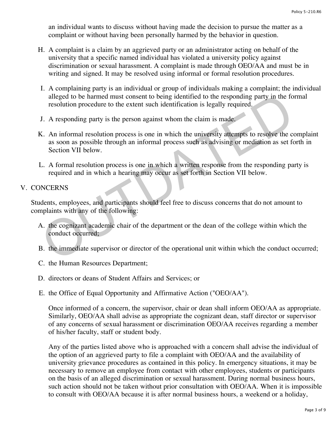an individual wants to discuss without having made the decision to pursue the matter as a complaint or without having been personally harmed by the behavior in question.

- H. A complaint is a claim by an aggrieved party or an administrator acting on behalf of the university that a specific named individual has violated a university policy against discrimination or sexual harassment. A complaint is made through OEO/AA and must be in writing and signed. It may be resolved using informal or formal resolution procedures.
- I. A complaining party is an individual or group of individuals making a complaint; the individual alleged to be harmed must consent to being identified to the responding party in the formal resolution procedure to the extent such identification is legally required.
- J. A responding party is the person against whom the claim is made.
- K. An informal resolution process is one in which the university attempts to resolve the complaint as soon as possible through an informal process such as advising or mediation as set forth in Section VII below. alleged to be harmed must consent to being identified to the responding party in the form resolution procedure to the extent such identification is legally required.<br>
J. A responding party is the person against whom the cl
- L. A formal resolution process is one in which a written response from the responding party is required and in which a hearing may occur as set forth in Section VII below.

### V. CONCERNS

Students, employees, and participants should feel free to discuss concerns that do not amount to complaints with any of the following:

- A. the cognizant academic chair of the department or the dean of the college within which the conduct occurred;
- B. the immediate supervisor or director of the operational unit within which the conduct occurred;
- C. the Human Resources Department;
- D. directors or deans of Student Affairs and Services; or
- E. the Office of Equal Opportunity and Affirmative Action ("OEO/AA").

Once informed of a concern, the supervisor, chair or dean shall inform OEO/AA as appropriate. Similarly, OEO/AA shall advise as appropriate the cognizant dean, staff director or supervisor of any concerns of sexual harassment or discrimination OEO/AA receives regarding a member of his/her faculty, staff or student body.

Any of the parties listed above who is approached with a concern shall advise the individual of the option of an aggrieved party to file a complaint with OEO/AA and the availability of university grievance procedures as contained in this policy. In emergency situations, it may be necessary to remove an employee from contact with other employees, students or participants on the basis of an alleged discrimination or sexual harassment. During normal business hours, such action should not be taken without prior consultation with OEO/AA. When it is impossible to consult with OEO/AA because it is after normal business hours, a weekend or a holiday,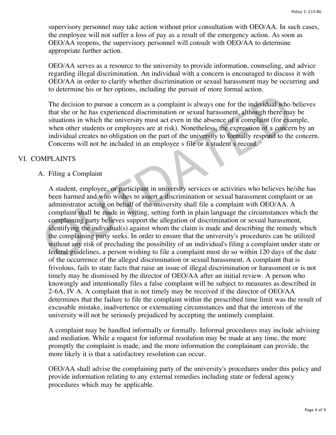supervisory personnel may take action without prior consultation with OEO/AA. In such cases, the employee will not suffer a loss of pay as a result of the emergency action. As soon as OEO/AA reopens, the supervisory personnel will consult with OEO/AA to determine appropriate further action.

OEO/AA serves as a resource to the university to provide information, counseling, and advice regarding illegal discrimination. An individual with a concern is encouraged to discuss it with OEO/AA in order to clarify whether discrimination or sexual harassment may be occurring and to determine his or her options, including the pursuit of more formal action.

The decision to pursue a concern as a complaint is always one for the individual who believes that she or he has experienced discrimination or sexual harassment, although there may be situations in which the university must act even in the absence of a complaint (for example, when other students or employees are at risk). Nonetheless, the expression of a concern by an individual creates no obligation on the part of the university to formally respond to the concern. Concerns will not be included in an employee s file or a student s record.

#### VI. COMPLAINTS

#### A. Filing a Complaint

A student, employee, or participant in university services or activities who believes he/she has been harmed and who wishes to assert a discrimination or sexual harassment complaint or an administrator acting on behalf of the university shall file a complaint with OEO/AA. A complaint shall be made in writing, setting forth in plain language the circumstances which the complaining party believes support the allegation of discrimination or sexual harassment, identifying the individual(s) against whom the claim is made and describing the remedy which the complaining party seeks. In order to ensure that the university's procedures can be utilized without any risk of precluding the possibility of an individual's filing a complaint under state or federal guidelines, a person wishing to file a complaint must do so within 120 days of the date of the occurrence of the alleged discrimination or sexual harassment. A complaint that is frivolous, fails to state facts that raise an issue of illegal discrimination or harassment or is not timely may be dismissed by the director of OEO/AA after an initial review. A person who knowingly and intentionally files a false complaint will be subject to measures as described in 2-6A, IV A. A complaint that is not timely may be received if the director of OEO/AA determines that the failure to file the complaint within the prescribed time limit was the result of excusable mistake, inadvertence or extenuating circumstances and that the interests of the university will not be seriously prejudiced by accepting the untimely complaint. The decision to pursue a concern as a complaint is always one for the individual who that she or he has experienced discrimination or sexual harassment, although there may situations in which the university must act even i

A complaint may be handled informally or formally. Informal procedures may include advising and mediation. While a request for informal resolution may be made at any time, the more promptly the complaint is made, and the more information the complainant can provide, the more likely it is that a satisfactory resolution can occur.

OEO/AA shall advise the complaining party of the university's procedures under this policy and provide information relating to any external remedies including state or federal agency procedures which may be applicable.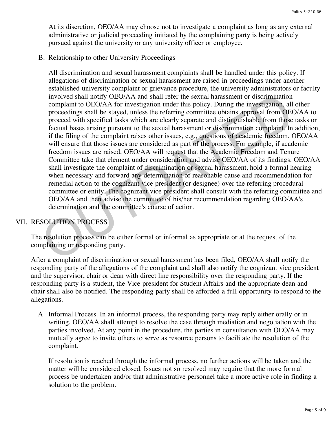At its discretion, OEO/AA may choose not to investigate a complaint as long as any external administrative or judicial proceeding initiated by the complaining party is being actively pursued against the university or any university officer or employee.

B. Relationship to other University Proceedings

All discrimination and sexual harassment complaints shall be handled under this policy. If allegations of discrimination or sexual harassment are raised in proceedings under another established university complaint or grievance procedure, the university administrators or faculty involved shall notify OEO/AA and shall refer the sexual harassment or discrimination complaint to OEO/AA for investigation under this policy. During the investigation, all other proceedings shall be stayed, unless the referring committee obtains approval from OEO/AA to proceed with specified tasks which are clearly separate and distinguishable from those tasks or factual bases arising pursuant to the sexual harassment or discrimination complaint. In addition, if the filing of the complaint raises other issues, e.g., questions of academic freedom, OEO/AA will ensure that those issues are considered as part of the process. For example, if academic freedom issues are raised, OEO/AA will request that the Academic Freedom and Tenure Committee take that element under consideration and advise OEO/AA of its findings. OEO/AA shall investigate the complaint of discrimination or sexual harassment, hold a formal hearing when necessary and forward any determination of reasonable cause and recommendation for remedial action to the cognizant vice president (or designee) over the referring procedural committee or entity. The cognizant vice president shall consult with the referring committee and OEO/AA and then advise the committee of his/her recommendation regarding OEO/AA's determination and the committee's course of action. involved shall notify OEO/AA and shall refer the sexual harassment or discrimination<br>complaint to OEO/AA for investigation under this policy. During the investigation, all<br>proceedings shall be stayed, unless the referring

### VII. RESOLUTION PROCESS

The resolution process can be either formal or informal as appropriate or at the request of the complaining or responding party.

After a complaint of discrimination or sexual harassment has been filed, OEO/AA shall notify the responding party of the allegations of the complaint and shall also notify the cognizant vice president and the supervisor, chair or dean with direct line responsibility over the responding party. If the responding party is a student, the Vice president for Student Affairs and the appropriate dean and chair shall also be notified. The responding party shall be afforded a full opportunity to respond to the allegations.

A. Informal Process. In an informal process, the responding party may reply either orally or in writing. OEO/AA shall attempt to resolve the case through mediation and negotiation with the parties involved. At any point in the procedure, the parties in consultation with OEO/AA may mutually agree to invite others to serve as resource persons to facilitate the resolution of the complaint.

If resolution is reached through the informal process, no further actions will be taken and the matter will be considered closed. Issues not so resolved may require that the more formal process be undertaken and/or that administrative personnel take a more active role in finding a solution to the problem.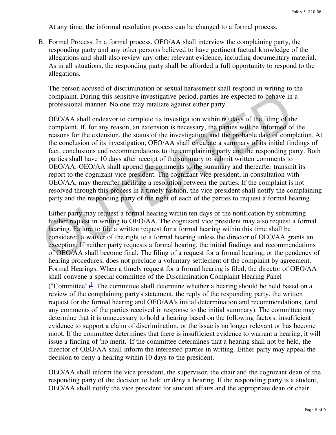At any time, the informal resolution process can be changed to a formal process.

B. Formal Process. In a formal process, OEO/AA shall interview the complaining party, the responding party and any other persons believed to have pertinent factual knowledge of the allegations and shall also review any other relevant evidence, including documentary material. As in all situations, the responding party shall be afforded a full opportunity to respond to the allegations.

The person accused of discrimination or sexual harassment shall respond in writing to the complaint. During this sensitive investigative period, parties are expected to behave in a professional manner. No one may retaliate against either party.

OEO/AA shall endeavor to complete its investigation within 60 days of the filing of the complaint. If, for any reason, an extension is necessary, the parties will be informed of the reasons for the extension, the status of the investigation, and the probable date of completion. At the conclusion of its investigation, OEO/AA shall circulate a summary of its initial findings of fact, conclusions and recommendations to the complaining party and the responding party. Both parties shall have 10 days after receipt of the summary to submit written comments to OEO/AA. OEO/AA shall append the comments to the summary and thereafter transmit its report to the cognizant vice president. The cognizant vice president, in consultation with OEO/AA, may thereafter facilitate a resolution between the parties. If the complaint is not resolved through this process in a timely fashion, the vice president shall notify the complaining party and the responding party of the right of each of the parties to request a formal hearing. complaint. During this sensitive investigative period, parties are expected to behave in<br>professional manner. No one may retaliate against either party.<br>OEO/AA shall endeavor to complete its investigation within 60 days of

Either party may request a formal hearing within ten days of the notification by submitting his/her request in writing to OEO/AA. The cognizant vice president may also request a formal hearing. Failure to file a written request for a formal hearing within this time shall be considered a waiver of the right to a formal hearing unless the director of OEO/AA grants an exception. If neither party requests a formal hearing, the initial findings and recommendations of OEO/AA shall become final. The filing of a request for a formal hearing, or the pendency of hearing procedures, does not preclude a voluntary settlement of the complaint by agreement. Formal Hearings. When a timely request for a formal hearing is filed, the director of OEO/AA shall convene a special committee of the Discrimination Complaint Hearing Panel ("Committee")<sup> $\perp$ </sup>. The committee shall determine whether a hearing should be held based on a review of the complaining party's statement, the reply of the responding party, the written request for the formal hearing and OEO/AA's initial determination and recommendations, (and any comments of the parties received in response to the initial summary). The committee may determine that it is unnecessary to hold a hearing based on the following factors: insufficient evidence to support a claim of discrimination, or the issue is no longer relevant or has become moot. If the committee determines that there is insufficient evidence to warrant a hearing, it will issue a finding of 'no merit.' If the committee determines that a hearing shall not be held, the director of OEO/AA shall inform the interested parties in writing. Either party may appeal the decision to deny a hearing within 10 days to the president.

OEO/AA shall inform the vice president, the supervisor, the chair and the cognizant dean of the responding party of the decision to hold or deny a hearing. If the responding party is a student, OEO/AA shall notify the vice president for student affairs and the appropriate dean or chair.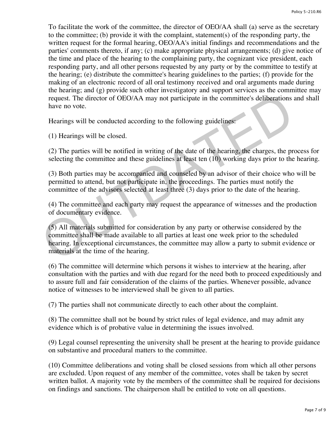To facilitate the work of the committee, the director of OEO/AA shall (a) serve as the secretary to the committee; (b) provide it with the complaint, statement(s) of the responding party, the written request for the formal hearing, OEO/AA's initial findings and recommendations and the parties' comments thereto, if any; (c) make appropriate physical arrangements; (d) give notice of the time and place of the hearing to the complaining party, the cognizant vice president, each responding party, and all other persons requested by any party or by the committee to testify at the hearing; (e) distribute the committee's hearing guidelines to the parties; (f) provide for the making of an electronic record of all oral testimony received and oral arguments made during the hearing; and (g) provide such other investigatory and support services as the committee may request. The director of OEO/AA may not participate in the committee's deliberations and shall have no vote.

Hearings will be conducted according to the following guidelines:

(1) Hearings will be closed.

(2) The parties will be notified in writing of the date of the hearing, the charges, the process for selecting the committee and these guidelines at least ten (10) working days prior to the hearing.

(3) Both parties may be accompanied and counseled by an advisor of their choice who will be permitted to attend, but not participate in, the proceedings. The parties must notify the committee of the advisors selected at least three (3) days prior to the date of the hearing.

(4) The committee and each party may request the appearance of witnesses and the production of documentary evidence.

(5) All materials submitted for consideration by any party or otherwise considered by the committee shall be made available to all parties at least one week prior to the scheduled hearing. In exceptional circumstances, the committee may allow a party to submit evidence or materials at the time of the hearing. request. The director of OEO/AA may not participate in the committee's deliberations have no vote.<br>
Hearings will be conducted according to the following guidelines:<br>
(1) Hearings will be conducted according to the followi

(6) The committee will determine which persons it wishes to interview at the hearing, after consultation with the parties and with due regard for the need both to proceed expeditiously and to assure full and fair consideration of the claims of the parties. Whenever possible, advance notice of witnesses to be interviewed shall be given to all parties.

(7) The parties shall not communicate directly to each other about the complaint.

(8) The committee shall not be bound by strict rules of legal evidence, and may admit any evidence which is of probative value in determining the issues involved.

(9) Legal counsel representing the university shall be present at the hearing to provide guidance on substantive and procedural matters to the committee.

(10) Committee deliberations and voting shall be closed sessions from which all other persons are excluded. Upon request of any member of the committee, votes shall be taken by secret written ballot. A majority vote by the members of the committee shall be required for decisions on findings and sanctions. The chairperson shall be entitled to vote on all questions.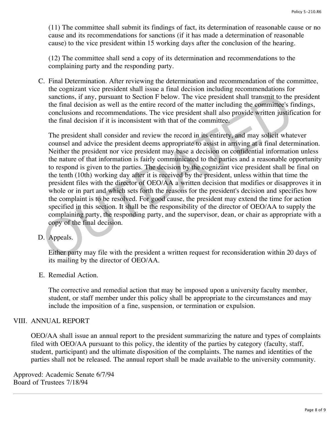(11) The committee shall submit its findings of fact, its determination of reasonable cause or no cause and its recommendations for sanctions (if it has made a determination of reasonable cause) to the vice president within 15 working days after the conclusion of the hearing.

(12) The committee shall send a copy of its determination and recommendations to the complaining party and the responding party.

C. Final Determination. After reviewing the determination and recommendation of the committee, the cognizant vice president shall issue a final decision including recommendations for sanctions, if any, pursuant to Section F below. The vice president shall transmit to the president the final decision as well as the entire record of the matter including the committee's findings, conclusions and recommendations. The vice president shall also provide written justification for the final decision if it is inconsistent with that of the committee.

The president shall consider and review the record in its entirety, and may solicit whatever counsel and advice the president deems appropriate to assist in arriving at a final determination. Neither the president nor vice president may base a decision on confidential information unless the nature of that information is fairly communicated to the parties and a reasonable opportunity to respond is given to the parties. The decision by the cognizant vice president shall be final on the tenth (10th) working day after it is received by the president, unless within that time the president files with the director of OEO/AA a written decision that modifies or disapproves it in whole or in part and which sets forth the reasons for the president's decision and specifies how the complaint is to be resolved. For good cause, the president may extend the time for action specified in this section. It shall be the responsibility of the director of OEO/AA to supply the complaining party, the responding party, and the supervisor, dean, or chair as appropriate with a copy of the final decision. sanctions, if any, pursuant to Section F below. The vice president shall transmit to the<br>the final decision as well as the entire record of the matter including the commuttee's fi<br>conclusions and recommendations. The vice

D. Appeals.

Either party may file with the president a written request for reconsideration within 20 days of its mailing by the director of OEO/AA.

E. Remedial Action.

The corrective and remedial action that may be imposed upon a university faculty member, student, or staff member under this policy shall be appropriate to the circumstances and may include the imposition of a fine, suspension, or termination or expulsion.

# VIII. ANNUAL REPORT

OEO/AA shall issue an annual report to the president summarizing the nature and types of complaints filed with OEO/AA pursuant to this policy, the identity of the parties by category (faculty, staff, student, participant) and the ultimate disposition of the complaints. The names and identities of the parties shall not be released. The annual report shall be made available to the university community.

Approved: Academic Senate 6/7/94 Board of Trustees 7/18/94